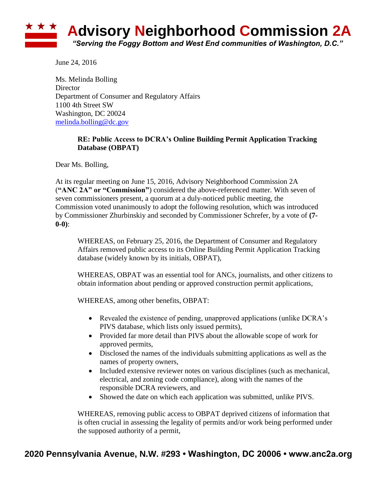

June 24, 2016

Ms. Melinda Bolling **Director** Department of Consumer and Regulatory Affairs 1100 4th Street SW Washington, DC 20024 [melinda.bolling@dc.gov](mailto:melinda.bolling@dc.gov)

## **RE: Public Access to DCRA's Online Building Permit Application Tracking Database (OBPAT)**

Dear Ms. Bolling,

At its regular meeting on June 15, 2016, Advisory Neighborhood Commission 2A (**"ANC 2A" or "Commission"**) considered the above-referenced matter. With seven of seven commissioners present, a quorum at a duly-noticed public meeting, the Commission voted unanimously to adopt the following resolution, which was introduced by Commissioner Zhurbinskiy and seconded by Commissioner Schrefer, by a vote of **(7- 0-0)**:

WHEREAS, on February 25, 2016, the Department of Consumer and Regulatory Affairs removed public access to its Online Building Permit Application Tracking database (widely known by its initials, OBPAT),

WHEREAS, OBPAT was an essential tool for ANCs, journalists, and other citizens to obtain information about pending or approved construction permit applications,

WHEREAS, among other benefits, OBPAT:

- Revealed the existence of pending, unapproved applications (unlike DCRA's PIVS database, which lists only issued permits),
- Provided far more detail than PIVS about the allowable scope of work for approved permits,
- Disclosed the names of the individuals submitting applications as well as the names of property owners,
- Included extensive reviewer notes on various disciplines (such as mechanical, electrical, and zoning code compliance), along with the names of the responsible DCRA reviewers, and
- Showed the date on which each application was submitted, unlike PIVS.

WHEREAS, removing public access to OBPAT deprived citizens of information that is often crucial in assessing the legality of permits and/or work being performed under the supposed authority of a permit,